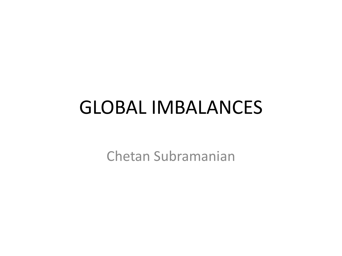## GLOBAL IMBALANCES

Chetan Subramanian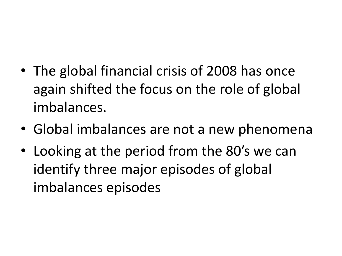- The global financial crisis of 2008 has once again shifted the focus on the role of global imbalances.
- Global imbalances are not a new phenomena
- Looking at the period from the 80's we can identify three major episodes of global imbalances episodes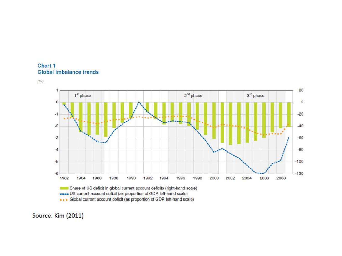





Source: Kim (2011)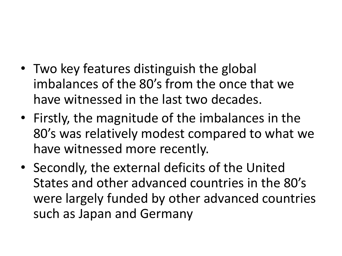- Two key features distinguish the global imbalances of the 80's from the once that we have witnessed in the last two decades.
- Firstly, the magnitude of the imbalances in the 80's was relatively modest compared to what we have witnessed more recently.
- Secondly, the external deficits of the United States and other advanced countries in the 80's were largely funded by other advanced countries such as Japan and Germany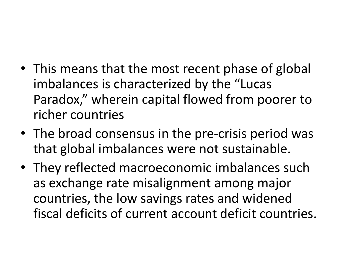- This means that the most recent phase of global imbalances is characterized by the "Lucas Paradox," wherein capital flowed from poorer to richer countries
- The broad consensus in the pre-crisis period was that global imbalances were not sustainable.
- They reflected macroeconomic imbalances such as exchange rate misalignment among major countries, the low savings rates and widened fiscal deficits of current account deficit countries.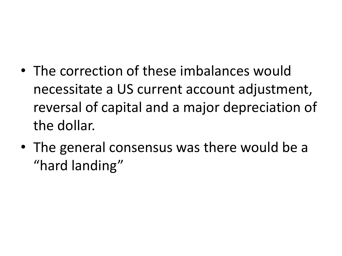- The correction of these imbalances would necessitate a US current account adjustment, reversal of capital and a major depreciation of the dollar.
- The general consensus was there would be a "hard landing"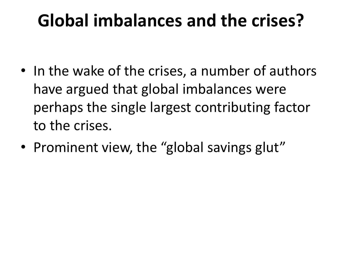## **Global imbalances and the crises?**

- In the wake of the crises, a number of authors have argued that global imbalances were perhaps the single largest contributing factor to the crises.
- Prominent view, the "global savings glut"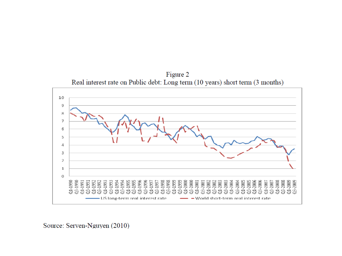Figure 2 Real interest rate on Public debt: Long term (10 years) short term (3 months)



Source: Serven-Nguyen (2010)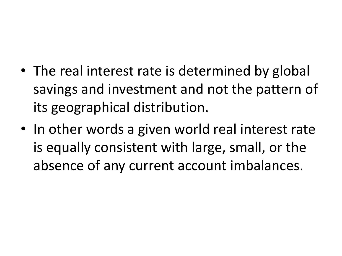- The real interest rate is determined by global savings and investment and not the pattern of its geographical distribution.
- In other words a given world real interest rate is equally consistent with large, small, or the absence of any current account imbalances.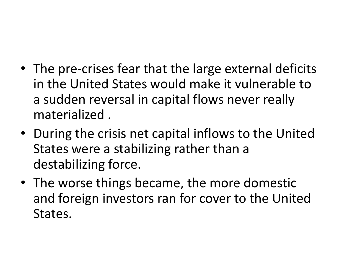- The pre-crises fear that the large external deficits in the United States would make it vulnerable to a sudden reversal in capital flows never really materialized .
- During the crisis net capital inflows to the United States were a stabilizing rather than a destabilizing force.
- The worse things became, the more domestic and foreign investors ran for cover to the United States.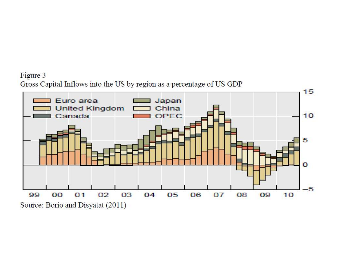## Figure 3 Gross Capital Inflows into the US by region as a percentage of US GDP

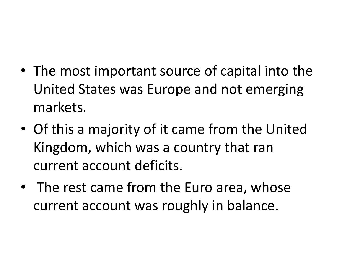- The most important source of capital into the United States was Europe and not emerging markets.
- Of this a majority of it came from the United Kingdom, which was a country that ran current account deficits.
- The rest came from the Euro area, whose current account was roughly in balance.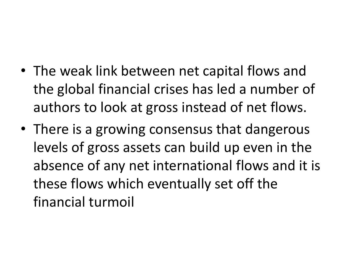- The weak link between net capital flows and the global financial crises has led a number of authors to look at gross instead of net flows.
- There is a growing consensus that dangerous levels of gross assets can build up even in the absence of any net international flows and it is these flows which eventually set off the financial turmoil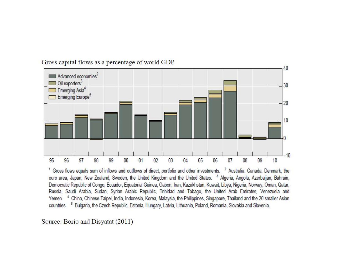

Gross capital flows as a percentage of world GDP

<sup>1</sup> Gross flows equals sum of inflows and outflows of direct, portfolio and other investments. <sup>2</sup> Australia, Canada, Denmark, the euro area, Japan, New Zealand, Sweden, the United Kingdom and the United States. <sup>3</sup> Algeria, Angola, Azerbaijan, Bahrain, Democratic Republic of Congo, Ecuador, Equatorial Guinea, Gabon, Iran, Kazakhstan, Kuwait, Libya, Nigeria, Norway, Oman, Qatar, Russia, Saudi Arabia, Sudan, Syrian Arabic Republic, Trinidad and Tobago, the United Arab Emirates, Venezuela and Yemen. <sup>4</sup> China, Chinese Taipei, India, Indonesia, Korea, Malaysia, the Philippines, Singapore, Thailand and the 20 smaller Asian countries. <sup>5</sup> Bulgaria, the Czech Republic, Estonia, Hungary, Latvia, Lithuania, Poland, Romania, Slovakia and Slovenia.

Source: Borio and Disyatat (2011)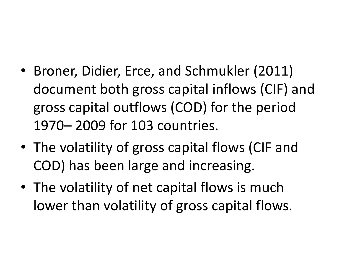- Broner, Didier, Erce, and Schmukler (2011) document both gross capital inflows (CIF) and gross capital outflows (COD) for the period 1970– 2009 for 103 countries.
- The volatility of gross capital flows (CIF and COD) has been large and increasing.
- The volatility of net capital flows is much lower than volatility of gross capital flows.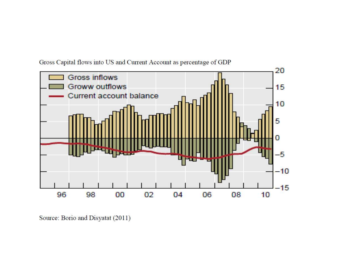

Gross Capital flows into US and Current Account as percentage of GDP

Source: Borio and Disyatat (2011)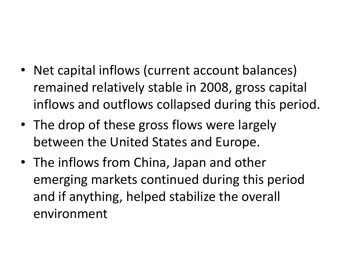- Net capital inflows (current account balances) remained relatively stable in 2008, gross capital inflows and outflows collapsed during this period.
- The drop of these gross flows were largely between the United States and Europe.
- The inflows from China, Japan and other emerging markets continued during this period and if anything, helped stabilize the overall environment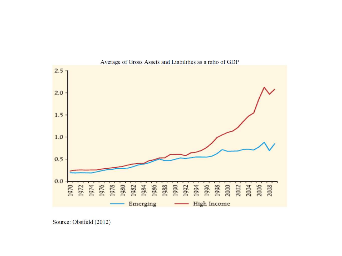

Average of Gross Assets and Liabilities as a ratio of GDP

Source: Obstfeld (2012)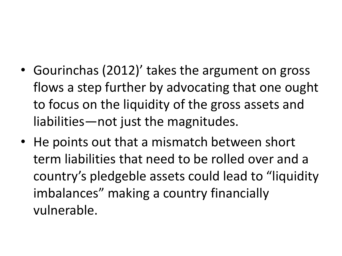- Gourinchas (2012)' takes the argument on gross flows a step further by advocating that one ought to focus on the liquidity of the gross assets and liabilities—not just the magnitudes.
- He points out that a mismatch between short term liabilities that need to be rolled over and a country's pledgeble assets could lead to "liquidity imbalances" making a country financially vulnerable.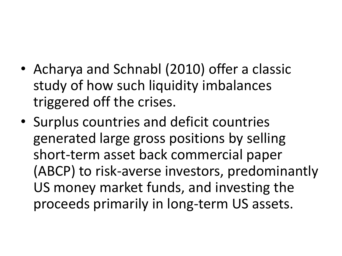- Acharya and Schnabl (2010) offer a classic study of how such liquidity imbalances triggered off the crises.
- Surplus countries and deficit countries generated large gross positions by selling short-term asset back commercial paper (ABCP) to risk-averse investors, predominantly US money market funds, and investing the proceeds primarily in long-term US assets.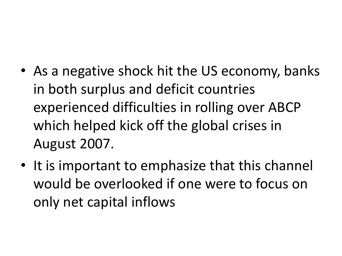- As a negative shock hit the US economy, banks in both surplus and deficit countries experienced difficulties in rolling over ABCP which helped kick off the global crises in August 2007.
- It is important to emphasize that this channel would be overlooked if one were to focus on only net capital inflows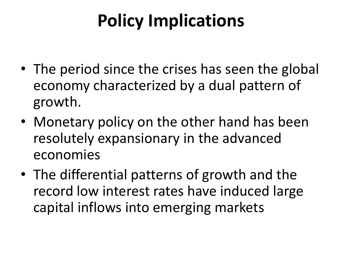## **Policy Implications**

- The period since the crises has seen the global economy characterized by a dual pattern of growth.
- Monetary policy on the other hand has been resolutely expansionary in the advanced economies
- The differential patterns of growth and the record low interest rates have induced large capital inflows into emerging markets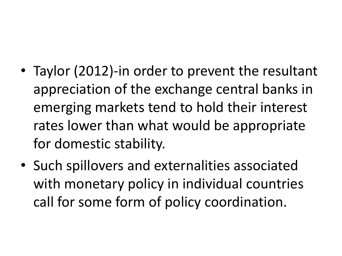- Taylor (2012)-in order to prevent the resultant appreciation of the exchange central banks in emerging markets tend to hold their interest rates lower than what would be appropriate for domestic stability.
- Such spillovers and externalities associated with monetary policy in individual countries call for some form of policy coordination.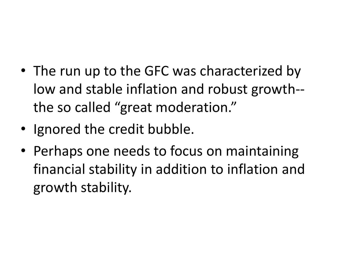- The run up to the GFC was characterized by low and stable inflation and robust growth- the so called "great moderation."
- Ignored the credit bubble.
- Perhaps one needs to focus on maintaining financial stability in addition to inflation and growth stability.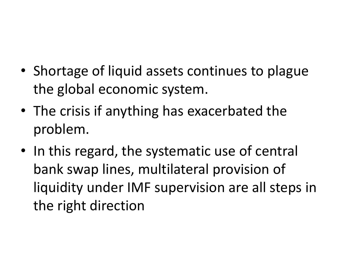- Shortage of liquid assets continues to plague the global economic system.
- The crisis if anything has exacerbated the problem.
- In this regard, the systematic use of central bank swap lines, multilateral provision of liquidity under IMF supervision are all steps in the right direction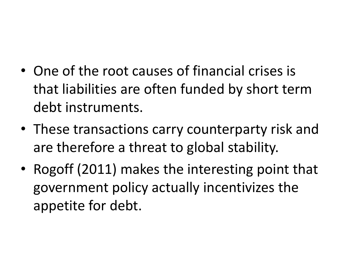- One of the root causes of financial crises is that liabilities are often funded by short term debt instruments.
- These transactions carry counterparty risk and are therefore a threat to global stability.
- Rogoff (2011) makes the interesting point that government policy actually incentivizes the appetite for debt.